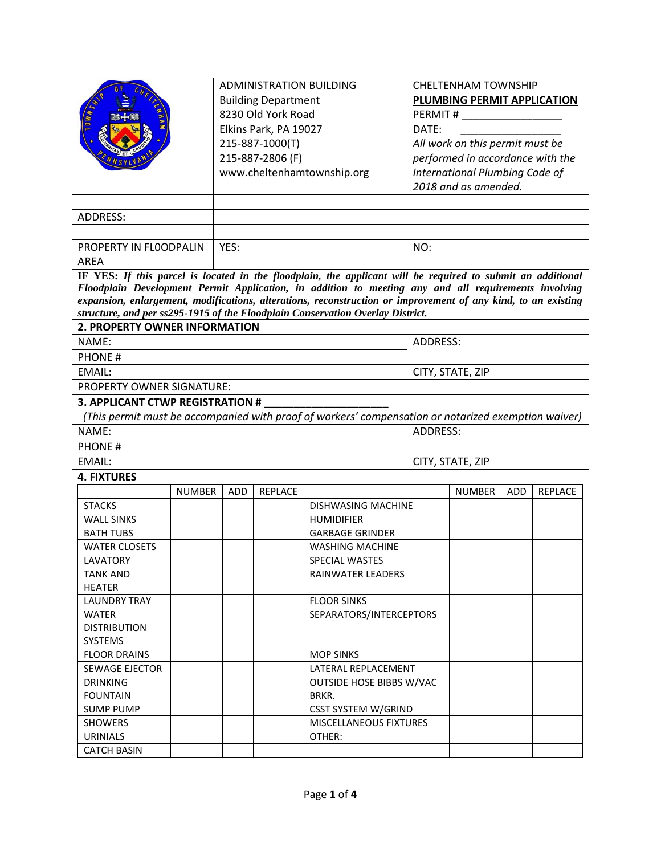|                                                                                                               |               | <b>ADMINISTRATION BUILDING</b>                                                                              |         |                                                                                                      | <b>CHELTENHAM TOWNSHIP</b>       |                                 |            |         |  |
|---------------------------------------------------------------------------------------------------------------|---------------|-------------------------------------------------------------------------------------------------------------|---------|------------------------------------------------------------------------------------------------------|----------------------------------|---------------------------------|------------|---------|--|
|                                                                                                               |               | <b>Building Department</b>                                                                                  |         |                                                                                                      |                                  | PLUMBING PERMIT APPLICATION     |            |         |  |
|                                                                                                               |               | 8230 Old York Road                                                                                          |         |                                                                                                      |                                  | PERMIT # ______________________ |            |         |  |
|                                                                                                               |               | Elkins Park, PA 19027                                                                                       |         |                                                                                                      | DATE:                            |                                 |            |         |  |
|                                                                                                               |               | 215-887-1000(T)                                                                                             |         |                                                                                                      | All work on this permit must be  |                                 |            |         |  |
|                                                                                                               |               | 215-887-2806 (F)                                                                                            |         |                                                                                                      | performed in accordance with the |                                 |            |         |  |
|                                                                                                               |               |                                                                                                             |         |                                                                                                      | International Plumbing Code of   |                                 |            |         |  |
|                                                                                                               |               | www.cheltenhamtownship.org                                                                                  |         |                                                                                                      | 2018 and as amended.             |                                 |            |         |  |
|                                                                                                               |               |                                                                                                             |         |                                                                                                      |                                  |                                 |            |         |  |
|                                                                                                               |               |                                                                                                             |         |                                                                                                      |                                  |                                 |            |         |  |
| <b>ADDRESS:</b>                                                                                               |               |                                                                                                             |         |                                                                                                      |                                  |                                 |            |         |  |
|                                                                                                               |               |                                                                                                             |         |                                                                                                      |                                  |                                 |            |         |  |
| PROPERTY IN FLOODPALIN                                                                                        |               | YES:                                                                                                        |         |                                                                                                      | NO:                              |                                 |            |         |  |
| <b>AREA</b>                                                                                                   |               |                                                                                                             |         |                                                                                                      |                                  |                                 |            |         |  |
|                                                                                                               |               | IF YES: If this parcel is located in the floodplain, the applicant will be required to submit an additional |         |                                                                                                      |                                  |                                 |            |         |  |
|                                                                                                               |               |                                                                                                             |         | Floodplain Development Permit Application, in addition to meeting any and all requirements involving |                                  |                                 |            |         |  |
| expansion, enlargement, modifications, alterations, reconstruction or improvement of any kind, to an existing |               |                                                                                                             |         |                                                                                                      |                                  |                                 |            |         |  |
| structure, and per ss295-1915 of the Floodplain Conservation Overlay District.                                |               |                                                                                                             |         |                                                                                                      |                                  |                                 |            |         |  |
| <b>2. PROPERTY OWNER INFORMATION</b>                                                                          |               |                                                                                                             |         |                                                                                                      |                                  |                                 |            |         |  |
| NAME:                                                                                                         |               |                                                                                                             |         |                                                                                                      | <b>ADDRESS:</b>                  |                                 |            |         |  |
| <b>PHONE#</b>                                                                                                 |               |                                                                                                             |         |                                                                                                      |                                  |                                 |            |         |  |
| <b>EMAIL:</b>                                                                                                 |               |                                                                                                             |         | CITY, STATE, ZIP                                                                                     |                                  |                                 |            |         |  |
| <b>PROPERTY OWNER SIGNATURE:</b>                                                                              |               |                                                                                                             |         |                                                                                                      |                                  |                                 |            |         |  |
| 3. APPLICANT CTWP REGISTRATION #                                                                              |               |                                                                                                             |         |                                                                                                      |                                  |                                 |            |         |  |
|                                                                                                               |               |                                                                                                             |         | (This permit must be accompanied with proof of workers' compensation or notarized exemption waiver)  |                                  |                                 |            |         |  |
| NAME:                                                                                                         |               |                                                                                                             |         | ADDRESS:                                                                                             |                                  |                                 |            |         |  |
| <b>PHONE#</b>                                                                                                 |               |                                                                                                             |         |                                                                                                      |                                  |                                 |            |         |  |
|                                                                                                               |               |                                                                                                             |         |                                                                                                      |                                  |                                 |            |         |  |
| EMAIL:                                                                                                        |               |                                                                                                             |         |                                                                                                      | CITY, STATE, ZIP                 |                                 |            |         |  |
| <b>4. FIXTURES</b>                                                                                            |               |                                                                                                             |         |                                                                                                      |                                  |                                 |            |         |  |
|                                                                                                               | <b>NUMBER</b> | ADD                                                                                                         | REPLACE |                                                                                                      |                                  | <b>NUMBER</b>                   | <b>ADD</b> | REPLACE |  |
| <b>STACKS</b>                                                                                                 |               |                                                                                                             |         | DISHWASING MACHINE                                                                                   |                                  |                                 |            |         |  |
| <b>WALL SINKS</b>                                                                                             |               |                                                                                                             |         | <b>HUMIDIFIER</b>                                                                                    |                                  |                                 |            |         |  |
| <b>BATH TUBS</b>                                                                                              |               |                                                                                                             |         | <b>GARBAGE GRINDER</b>                                                                               |                                  |                                 |            |         |  |
| <b>WATER CLOSETS</b>                                                                                          |               |                                                                                                             |         | <b>WASHING MACHINE</b>                                                                               |                                  |                                 |            |         |  |
| LAVATORY                                                                                                      |               |                                                                                                             |         | SPECIAL WASTES                                                                                       |                                  |                                 |            |         |  |
| <b>TANK AND</b>                                                                                               |               |                                                                                                             |         | <b>RAINWATER LEADERS</b>                                                                             |                                  |                                 |            |         |  |
| <b>HEATER</b>                                                                                                 |               |                                                                                                             |         |                                                                                                      |                                  |                                 |            |         |  |
| <b>LAUNDRY TRAY</b>                                                                                           |               |                                                                                                             |         | <b>FLOOR SINKS</b>                                                                                   |                                  |                                 |            |         |  |
| <b>WATER</b>                                                                                                  |               |                                                                                                             |         | SEPARATORS/INTERCEPTORS                                                                              |                                  |                                 |            |         |  |
| <b>DISTRIBUTION</b>                                                                                           |               |                                                                                                             |         |                                                                                                      |                                  |                                 |            |         |  |
| SYSTEMS                                                                                                       |               |                                                                                                             |         |                                                                                                      |                                  |                                 |            |         |  |
| <b>FLOOR DRAINS</b>                                                                                           |               |                                                                                                             |         | <b>MOP SINKS</b>                                                                                     |                                  |                                 |            |         |  |
| SEWAGE EJECTOR                                                                                                |               |                                                                                                             |         | LATERAL REPLACEMENT                                                                                  |                                  |                                 |            |         |  |
| <b>DRINKING</b>                                                                                               |               |                                                                                                             |         | <b>OUTSIDE HOSE BIBBS W/VAC</b>                                                                      |                                  |                                 |            |         |  |
| <b>FOUNTAIN</b>                                                                                               |               |                                                                                                             |         | BRKR.                                                                                                |                                  |                                 |            |         |  |
| <b>SUMP PUMP</b>                                                                                              |               |                                                                                                             |         | <b>CSST SYSTEM W/GRIND</b>                                                                           |                                  |                                 |            |         |  |
| <b>SHOWERS</b>                                                                                                |               |                                                                                                             |         | MISCELLANEOUS FIXTURES                                                                               |                                  |                                 |            |         |  |
| <b>URINIALS</b>                                                                                               |               |                                                                                                             |         | OTHER:                                                                                               |                                  |                                 |            |         |  |
| <b>CATCH BASIN</b>                                                                                            |               |                                                                                                             |         |                                                                                                      |                                  |                                 |            |         |  |
|                                                                                                               |               |                                                                                                             |         |                                                                                                      |                                  |                                 |            |         |  |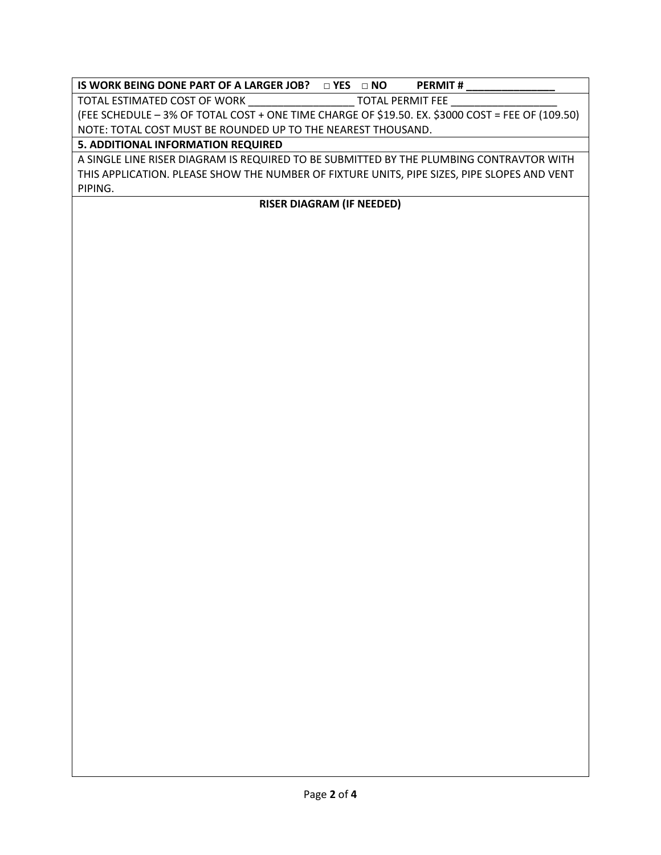## **IS WORK BEING DONE PART OF A LARGER JOB? □ YES □ NO PERMIT #**

TOTAL ESTIMATED COST OF WORK \_\_\_\_\_\_\_\_\_\_\_\_\_\_\_\_\_\_\_\_\_\_\_\_\_ TOTAL PERMIT FEE

(FEE SCHEDULE – 3% OF TOTAL COST + ONE TIME CHARGE OF \$19.50. EX. \$3000 COST = FEE OF (109.50) NOTE: TOTAL COST MUST BE ROUNDED UP TO THE NEAREST THOUSAND.

## **5. ADDITIONAL INFORMATION REQUIRED**

A SINGLE LINE RISER DIAGRAM IS REQUIRED TO BE SUBMITTED BY THE PLUMBING CONTRAVTOR WITH THIS APPLICATION. PLEASE SHOW THE NUMBER OF FIXTURE UNITS, PIPE SIZES, PIPE SLOPES AND VENT PIPING.

## **RISER DIAGRAM (IF NEEDED)**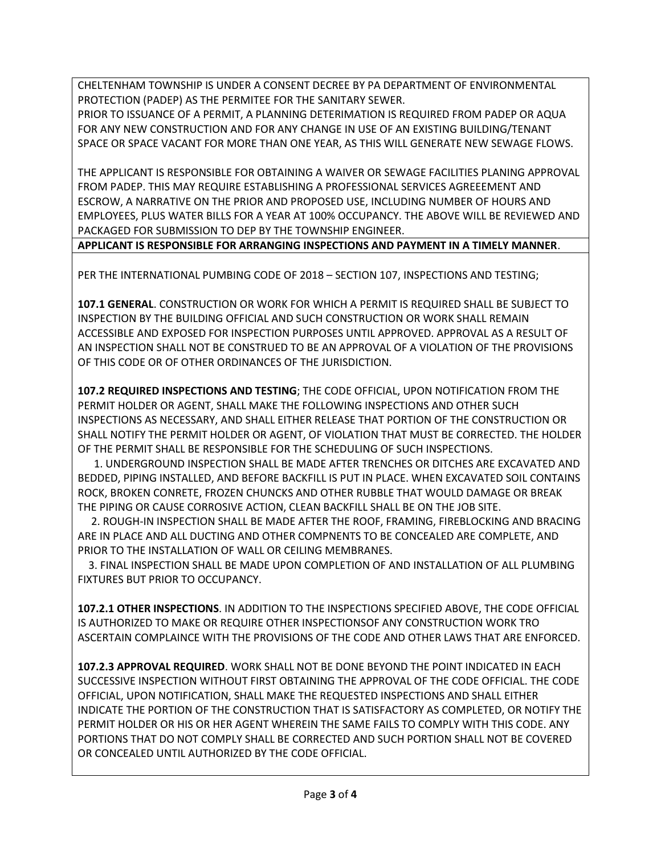CHELTENHAM TOWNSHIP IS UNDER A CONSENT DECREE BY PA DEPARTMENT OF ENVIRONMENTAL PROTECTION (PADEP) AS THE PERMITEE FOR THE SANITARY SEWER.

PRIOR TO ISSUANCE OF A PERMIT, A PLANNING DETERIMATION IS REQUIRED FROM PADEP OR AQUA FOR ANY NEW CONSTRUCTION AND FOR ANY CHANGE IN USE OF AN EXISTING BUILDING/TENANT SPACE OR SPACE VACANT FOR MORE THAN ONE YEAR, AS THIS WILL GENERATE NEW SEWAGE FLOWS.

THE APPLICANT IS RESPONSIBLE FOR OBTAINING A WAIVER OR SEWAGE FACILITIES PLANING APPROVAL FROM PADEP. THIS MAY REQUIRE ESTABLISHING A PROFESSIONAL SERVICES AGREEEMENT AND ESCROW, A NARRATIVE ON THE PRIOR AND PROPOSED USE, INCLUDING NUMBER OF HOURS AND EMPLOYEES, PLUS WATER BILLS FOR A YEAR AT 100% OCCUPANCY. THE ABOVE WILL BE REVIEWED AND PACKAGED FOR SUBMISSION TO DEP BY THE TOWNSHIP ENGINEER.

**APPLICANT IS RESPONSIBLE FOR ARRANGING INSPECTIONS AND PAYMENT IN A TIMELY MANNER**.

PER THE INTERNATIONAL PUMBING CODE OF 2018 – SECTION 107, INSPECTIONS AND TESTING;

**107.1 GENERAL**. CONSTRUCTION OR WORK FOR WHICH A PERMIT IS REQUIRED SHALL BE SUBJECT TO INSPECTION BY THE BUILDING OFFICIAL AND SUCH CONSTRUCTION OR WORK SHALL REMAIN ACCESSIBLE AND EXPOSED FOR INSPECTION PURPOSES UNTIL APPROVED. APPROVAL AS A RESULT OF AN INSPECTION SHALL NOT BE CONSTRUED TO BE AN APPROVAL OF A VIOLATION OF THE PROVISIONS OF THIS CODE OR OF OTHER ORDINANCES OF THE JURISDICTION.

**107.2 REQUIRED INSPECTIONS AND TESTING**; THE CODE OFFICIAL, UPON NOTIFICATION FROM THE PERMIT HOLDER OR AGENT, SHALL MAKE THE FOLLOWING INSPECTIONS AND OTHER SUCH INSPECTIONS AS NECESSARY, AND SHALL EITHER RELEASE THAT PORTION OF THE CONSTRUCTION OR SHALL NOTIFY THE PERMIT HOLDER OR AGENT, OF VIOLATION THAT MUST BE CORRECTED. THE HOLDER OF THE PERMIT SHALL BE RESPONSIBLE FOR THE SCHEDULING OF SUCH INSPECTIONS.

 1. UNDERGROUND INSPECTION SHALL BE MADE AFTER TRENCHES OR DITCHES ARE EXCAVATED AND BEDDED, PIPING INSTALLED, AND BEFORE BACKFILL IS PUT IN PLACE. WHEN EXCAVATED SOIL CONTAINS ROCK, BROKEN CONRETE, FROZEN CHUNCKS AND OTHER RUBBLE THAT WOULD DAMAGE OR BREAK THE PIPING OR CAUSE CORROSIVE ACTION, CLEAN BACKFILL SHALL BE ON THE JOB SITE.

 2. ROUGH-IN INSPECTION SHALL BE MADE AFTER THE ROOF, FRAMING, FIREBLOCKING AND BRACING ARE IN PLACE AND ALL DUCTING AND OTHER COMPNENTS TO BE CONCEALED ARE COMPLETE, AND PRIOR TO THE INSTALLATION OF WALL OR CEILING MEMBRANES.

 3. FINAL INSPECTION SHALL BE MADE UPON COMPLETION OF AND INSTALLATION OF ALL PLUMBING FIXTURES BUT PRIOR TO OCCUPANCY.

**107.2.1 OTHER INSPECTIONS**. IN ADDITION TO THE INSPECTIONS SPECIFIED ABOVE, THE CODE OFFICIAL IS AUTHORIZED TO MAKE OR REQUIRE OTHER INSPECTIONSOF ANY CONSTRUCTION WORK TRO ASCERTAIN COMPLAINCE WITH THE PROVISIONS OF THE CODE AND OTHER LAWS THAT ARE ENFORCED.

**107.2.3 APPROVAL REQUIRED**. WORK SHALL NOT BE DONE BEYOND THE POINT INDICATED IN EACH SUCCESSIVE INSPECTION WITHOUT FIRST OBTAINING THE APPROVAL OF THE CODE OFFICIAL. THE CODE OFFICIAL, UPON NOTIFICATION, SHALL MAKE THE REQUESTED INSPECTIONS AND SHALL EITHER INDICATE THE PORTION OF THE CONSTRUCTION THAT IS SATISFACTORY AS COMPLETED, OR NOTIFY THE PERMIT HOLDER OR HIS OR HER AGENT WHEREIN THE SAME FAILS TO COMPLY WITH THIS CODE. ANY PORTIONS THAT DO NOT COMPLY SHALL BE CORRECTED AND SUCH PORTION SHALL NOT BE COVERED OR CONCEALED UNTIL AUTHORIZED BY THE CODE OFFICIAL.